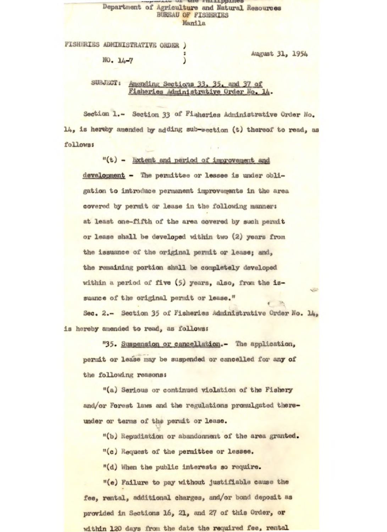## *<u>r r*<sub>i</sub> *r*<sub>i</sub> *r*<sub>i</sub> *r*<sub>i</sub> *r*<sup>*r*</sup><sup>*r*</sup><sup>*n*</sup> *r*<sub>i</sub> *r*<sup>*i*</sup> *r*<sub>i</sub> *r*<sub>i</sub> *r*<sub>i</sub> *r*<sub>i</sub> *r*<sub>i</sub> *r*<sub>i</sub> *r*<sub>1</sub></u> Department of Agriculture and Natural Resources BUREAU OF FISHERIES Manila

FISHERIES ADMINISTRATIVE ORDER ) NO. 14-7 )

August 31, 1954

SUBJECT: Amending Sections 33, 35, and 37 of Fisheries Administrative Order No.

Section 1.- Section 33 of Fisheries Administrative Order No. 14, is hereby amended by adding sub-section (t) thereof to read, as follows;

"(t) - Extent and period of improvement and development - The permittee or lessee is under obli**gation** to introduce permanent **improvements in** the area **covered** by **permit or** lease in the following manners at least **one**-fifth of the area **covered** by each permit **or lease shall be developed within two (2) years from**  *the issuance of* **the original permit or lease; and,**  the remaining **portion** shall be completely **developed**  within a period of five (5) years, also, from the issuance of the **original** permit or **lease."** 

Sec. 2.- **Section** *35* of Fisheries Administrative Order **No.** 14, is hereby amended to **read,** as follows:

*"35.* **Suspension or cancellation.-** The **application,**  permit or lease may be suspended or cancelled for any of the **following reasons:** 

"(a) Serious or **continued violation of the Fishery and/or Forest** laws and the regulations promulgated thereunder or terms of the permit or lease.

'(b) Repudiation or abandonment of the area granted.

"(c) Request of the permittee or lessee.

"(d) When the public interests so require.

**"(e) Failure to pay without justifiable cause the**  fee, rental, additional charges, and/or bond deposit as provided in Sections 16, 21, **and** 27 of this Order, **or**  within 120 days from the date the required fee, rental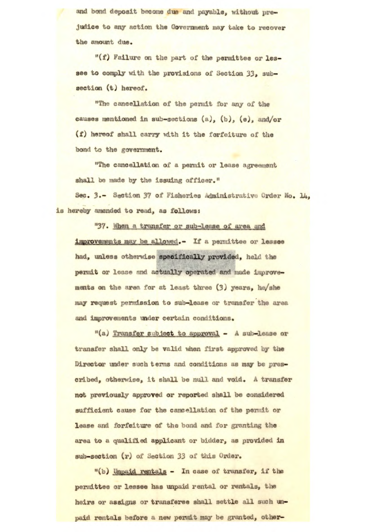and bond deposit become due and payable, without prejudice to any action the Government may take to recover the amount due,

"(f) Failure on the part of **the permittee** or **les**see to comply with the provisions of Section 33, subsection (t) hereof.

"The cancellation of the permit for any of the causes mentioned in sub-sections (a), (b), (e), and/or (f) hereof shall carry with it the forfeiture of the bond to the government.

"The cancellation of a permit or lease agreement shall be made by the issuing officer."

Sec. 3.- Section 37 of Fisheries administrative Order No, 14, is *hereby amended to read, as follows:* 

"37. When a transfer or sub-lease of area and improvements may be allowed.- If a permittee or lessee had, unless otherwise specifically provided, held the permit or lease and actually operated and made improvements on the area for at least three (3) years, he/she W request permission to sub**-lease** or transfer the area **and improvements** under certain conditions,

"(a) Transfer subject to approval - A sub-lease or transfer shall only be valid when first approved by the Director under such terms and conditions as may be prescribed, otherwise, It shall be null and **void. A transfer**  not previously approved or reported shall be considered sufficient cause for the cancellation of the permit or lease and forfeiture of the bond and for granting the area to a qualified applicant or bidder, as provided in sub-section (r) of Section 33 of this Order.

**"(b) Upajd. ritals** - In case of transfer, if the permittee or lessee has unpaid rental or rentals, the heirs or assigns or transferee shall settle all such unpaid rentals before a new permit may be granted, other